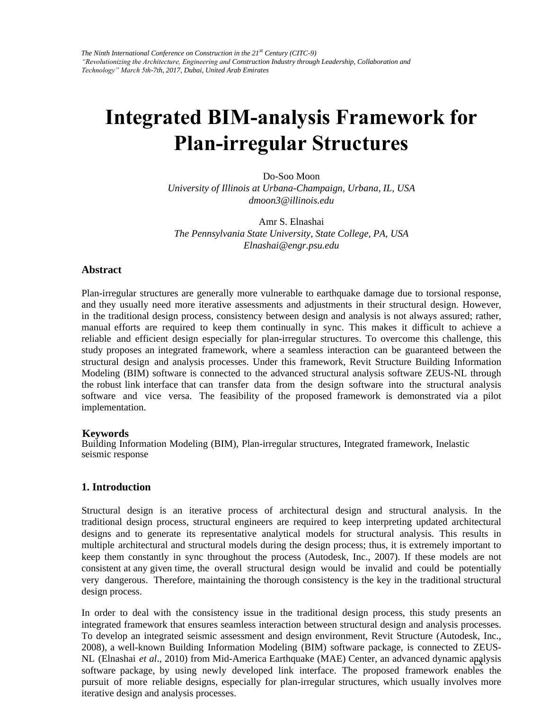# **Integrated BIM-analysis Framework for Plan-irregular Structures**

Do-Soo Moon *University of Illinois at Urbana-Champaign, Urbana, IL, USA dmoon3@illinois.edu* 

Amr S. Elnashai *The Pennsylvania State University, State College, PA, USA Elnashai@engr.psu.edu* 

### **Abstract**

Plan-irregular structures are generally more vulnerable to earthquake damage due to torsional response, and they usually need more iterative assessments and adjustments in their structural design. However, in the traditional design process, consistency between design and analysis is not always assured; rather, manual efforts are required to keep them continually in sync. This makes it difficult to achieve a reliable and efficient design especially for plan-irregular structures. To overcome this challenge, this study proposes an integrated framework, where a seamless interaction can be guaranteed between the structural design and analysis processes. Under this framework, Revit Structure Building Information Modeling (BIM) software is connected to the advanced structural analysis software ZEUS-NL through the robust link interface that can transfer data from the design software into the structural analysis software and vice versa. The feasibility of the proposed framework is demonstrated via a pilot implementation.

#### **Keywords**

Building Information Modeling (BIM), Plan-irregular structures, Integrated framework, Inelastic seismic response

## **1. Introduction**

Structural design is an iterative process of architectural design and structural analysis. In the traditional design process, structural engineers are required to keep interpreting updated architectural designs and to generate its representative analytical models for structural analysis. This results in multiple architectural and structural models during the design process; thus, it is extremely important to keep them constantly in sync throughout the process (Autodesk, Inc., 2007). If these models are not consistent at any given time, the overall structural design would be invalid and could be potentially very dangerous. Therefore, maintaining the thorough consistency is the key in the traditional structural design process.

NL (Elnashai et al., 2010) from Mid-America Earthquake (MAE) Center, an advanced dynamic analysis software package, by using newly developed link interface. The proposed framework enables the In order to deal with the consistency issue in the traditional design process, this study presents an integrated framework that ensures seamless interaction between structural design and analysis processes. To develop an integrated seismic assessment and design environment, Revit Structure (Autodesk, Inc., 2008), a well-known Building Information Modeling (BIM) software package, is connected to ZEUSpursuit of more reliable designs, especially for plan-irregular structures, which usually involves more iterative design and analysis processes.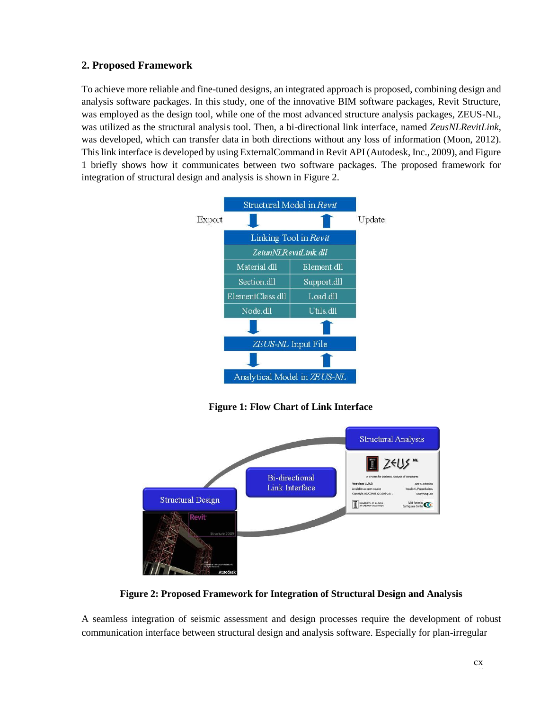# **2. Proposed Framework**

To achieve more reliable and fine-tuned designs, an integrated approach is proposed, combining design and analysis software packages. In this study, one of the innovative BIM software packages, Revit Structure, was employed as the design tool, while one of the most advanced structure analysis packages, ZEUS-NL, was utilized as the structural analysis tool. Then, a bi-directional link interface, named *ZeusNLRevitLink*, was developed, which can transfer data in both directions without any loss of information (Moon, 2012). This link interface is developed by using ExternalCommand in Revit API (Autodesk, Inc., 2009), and Figure 1 briefly shows how it communicates between two software packages. The proposed framework for integration of structural design and analysis is shown in Figure 2.



**Figure 1: Flow Chart of Link Interface**



**Figure 2: Proposed Framework for Integration of Structural Design and Analysis**

A seamless integration of seismic assessment and design processes require the development of robust communication interface between structural design and analysis software. Especially for plan-irregular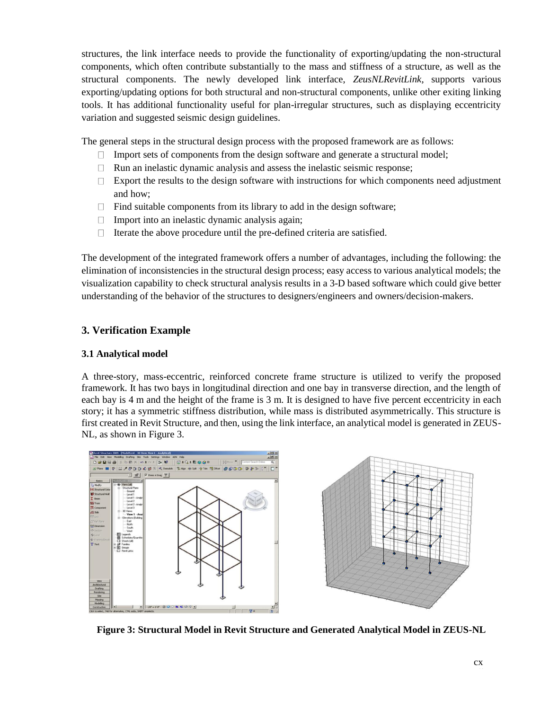structures, the link interface needs to provide the functionality of exporting/updating the non-structural components, which often contribute substantially to the mass and stiffness of a structure, as well as the structural components. The newly developed link interface, *ZeusNLRevitLink*, supports various exporting/updating options for both structural and non-structural components, unlike other exiting linking tools. It has additional functionality useful for plan-irregular structures, such as displaying eccentricity variation and suggested seismic design guidelines.

The general steps in the structural design process with the proposed framework are as follows:

- $\Box$  Import sets of components from the design software and generate a structural model;
- $\Box$  Run an inelastic dynamic analysis and assess the inelastic seismic response;
- $\Box$  Export the results to the design software with instructions for which components need adjustment and how;
- $\Box$  Find suitable components from its library to add in the design software;
- $\Box$  Import into an inelastic dynamic analysis again;
- $\Box$  Iterate the above procedure until the pre-defined criteria are satisfied.

The development of the integrated framework offers a number of advantages, including the following: the elimination of inconsistencies in the structural design process; easy access to various analytical models; the visualization capability to check structural analysis results in a 3-D based software which could give better understanding of the behavior of the structures to designers/engineers and owners/decision-makers.

# **3. Verification Example**

### **3.1 Analytical model**

A three-story, mass-eccentric, reinforced concrete frame structure is utilized to verify the proposed framework. It has two bays in longitudinal direction and one bay in transverse direction, and the length of each bay is 4 m and the height of the frame is 3 m. It is designed to have five percent eccentricity in each story; it has a symmetric stiffness distribution, while mass is distributed asymmetrically. This structure is first created in Revit Structure, and then, using the link interface, an analytical model is generated in ZEUS-NL, as shown in Figure 3.



**Figure 3: Structural Model in Revit Structure and Generated Analytical Model in ZEUS-NL**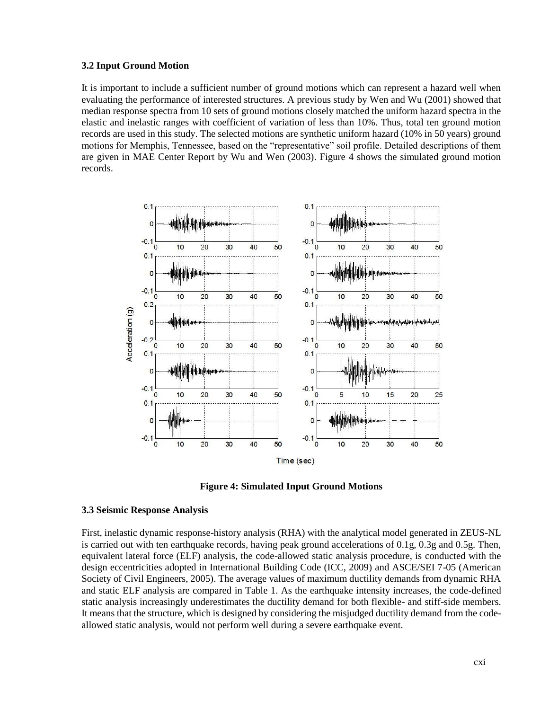#### **3.2 Input Ground Motion**

It is important to include a sufficient number of ground motions which can represent a hazard well when evaluating the performance of interested structures. A previous study by Wen and Wu (2001) showed that median response spectra from 10 sets of ground motions closely matched the uniform hazard spectra in the elastic and inelastic ranges with coefficient of variation of less than 10%. Thus, total ten ground motion records are used in this study. The selected motions are synthetic uniform hazard (10% in 50 years) ground motions for Memphis, Tennessee, based on the "representative" soil profile. Detailed descriptions of them are given in MAE Center Report by Wu and Wen (2003). Figure 4 shows the simulated ground motion records.





#### **3.3 Seismic Response Analysis**

First, inelastic dynamic response-history analysis (RHA) with the analytical model generated in ZEUS-NL is carried out with ten earthquake records, having peak ground accelerations of 0.1g, 0.3g and 0.5g. Then, equivalent lateral force (ELF) analysis, the code-allowed static analysis procedure, is conducted with the design eccentricities adopted in International Building Code (ICC, 2009) and ASCE/SEI 7-05 (American Society of Civil Engineers, 2005). The average values of maximum ductility demands from dynamic RHA and static ELF analysis are compared in Table 1. As the earthquake intensity increases, the code-defined static analysis increasingly underestimates the ductility demand for both flexible- and stiff-side members. It means that the structure, which is designed by considering the misjudged ductility demand from the codeallowed static analysis, would not perform well during a severe earthquake event.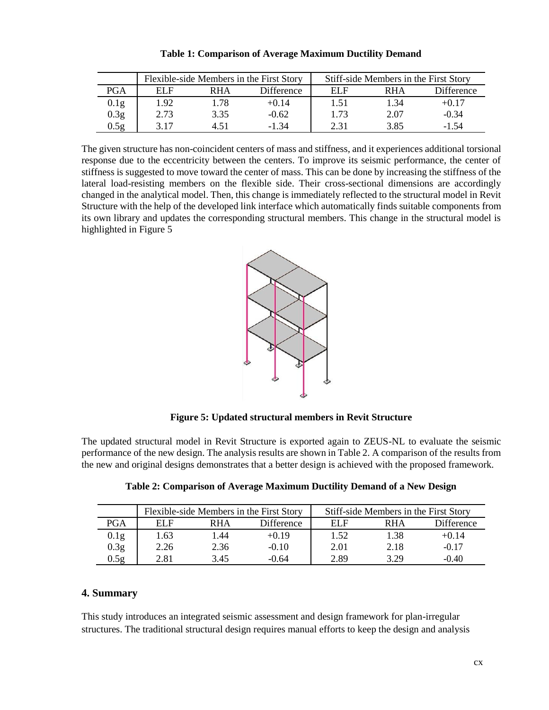|                  |      |            | Flexible-side Members in the First Story | Stiff-side Members in the First Story |            |            |  |  |
|------------------|------|------------|------------------------------------------|---------------------------------------|------------|------------|--|--|
| PGA              | FI F | <b>RHA</b> | Difference                               | EL F                                  | <b>RHA</b> | Difference |  |  |
| 0.1g             | 1.92 | 1.78       | $+0.14$                                  | 1.51                                  | .34        | +0.17      |  |  |
| 0.3 <sub>g</sub> | 2.73 | 3.35       | $-0.62$                                  | 1.73                                  | 2.07       | $-0.34$    |  |  |
| 0.5g             | 317  | 4.51       | -1.34                                    | 2.31                                  | 3.85       | -1.54      |  |  |

**Table 1: Comparison of Average Maximum Ductility Demand**

The given structure has non-coincident centers of mass and stiffness, and it experiences additional torsional response due to the eccentricity between the centers. To improve its seismic performance, the center of stiffness is suggested to move toward the center of mass. This can be done by increasing the stiffness of the lateral load-resisting members on the flexible side. Their cross-sectional dimensions are accordingly changed in the analytical model. Then, this change is immediately reflected to the structural model in Revit Structure with the help of the developed link interface which automatically finds suitable components from its own library and updates the corresponding structural members. This change in the structural model is highlighted in Figure 5



**Figure 5: Updated structural members in Revit Structure**

The updated structural model in Revit Structure is exported again to ZEUS-NL to evaluate the seismic performance of the new design. The analysis results are shown in Table 2. A comparison of the results from the new and original designs demonstrates that a better design is achieved with the proposed framework.

|                  |      |      | Flexible-side Members in the First Story | Stiff-side Members in the First Story |      |            |  |  |
|------------------|------|------|------------------------------------------|---------------------------------------|------|------------|--|--|
| PGA              | EL F | RHA  | Difference                               | EL F                                  | RHA  | Difference |  |  |
| 0.1g             | l.63 | .44  | +0.19                                    | 1.52                                  | 1.38 | +0.14      |  |  |
| 0.3 <sub>g</sub> | 2.26 | 2.36 | $-0.10$                                  | 2.01                                  | 2.18 | $-0.17$    |  |  |
| 0.5g             | 2.81 | 3.45 | $-0.64$                                  | 2.89                                  | 3 29 | $-0.40$    |  |  |

|  |  |  | Table 2: Comparison of Average Maximum Ductility Demand of a New Design |  |  |  |
|--|--|--|-------------------------------------------------------------------------|--|--|--|
|  |  |  |                                                                         |  |  |  |
|  |  |  |                                                                         |  |  |  |
|  |  |  |                                                                         |  |  |  |

## **4. Summary**

This study introduces an integrated seismic assessment and design framework for plan-irregular structures. The traditional structural design requires manual efforts to keep the design and analysis